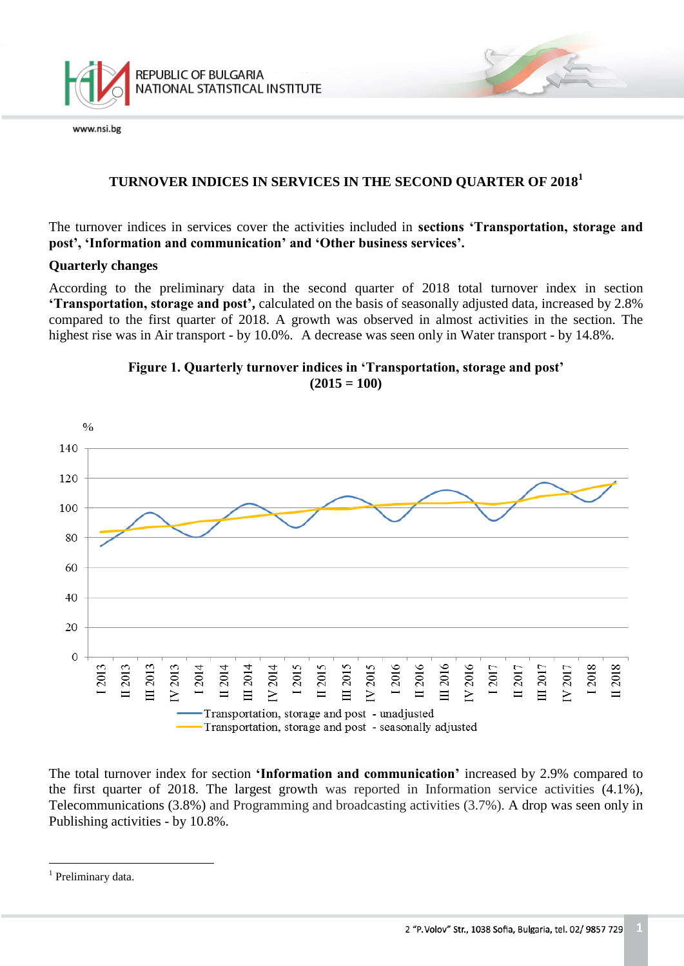

# **TURNOVER INDICES IN SERVICES IN THE SECOND QUARTER OF 2018 1**

The turnover indices in services cover the activities included in **sections 'Transportation, storage and post', 'Information and communication' and 'Other business services'.**

### **Quarterly changes**

According to the preliminary data in the second quarter of 2018 total turnover index in section **'Transportation, storage and post',** calculated on the basis of seasonally adjusted data, increased by 2.8% compared to the first quarter of 2018. A growth was observed in almost activities in the section. The highest rise was in Air transport - by 10.0%. A decrease was seen only in Water transport - by 14.8%.





The total turnover index for section **'Information and communication'** increased by 2.9% compared to the first quarter of 2018. The largest growth was reported in Information service activities (4.1%), Telecommunications (3.8%) and Programming and broadcasting activities (3.7%). A drop was seen only in Publishing activities - by 10.8%.

a<br>B

<sup>&</sup>lt;sup>1</sup> Preliminary data.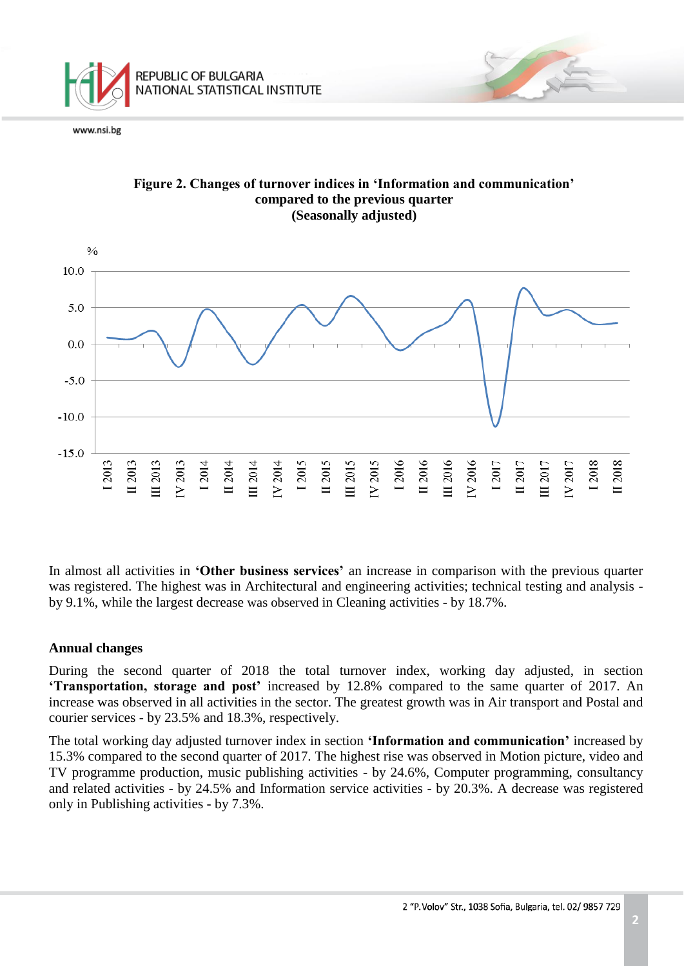

www.nsi.be



#### **Figure 2. Changes of turnover indices in 'Information and communication' compared to the previous quarter (Seasonally adjusted)**

In almost all activities in **'Other business services'** an increase in comparison with the previous quarter was registered. The highest was in Architectural and engineering activities; technical testing and analysis by 9.1%, while the largest decrease was observed in Cleaning activities - by 18.7%.

## **Annual changes**

During the second quarter of 2018 the total turnover index, working day adjusted, in section **'Transportation, storage and post'** increased by 12.8% compared to the same quarter of 2017. An increase was observed in all activities in the sector. The greatest growth was in Air transport and Postal and courier services - by 23.5% and 18.3%, respectively.

The total working day adjusted turnover index in section **'Information and communication'** increased by 15.3% compared to the second quarter of 2017. The highest rise was observed in Motion picture, video and TV programme production, music publishing activities - by 24.6%, Computer programming, consultancy and related activities - by 24.5% and Information service activities - by 20.3%. A decrease was registered only in Publishing activities - by 7.3%.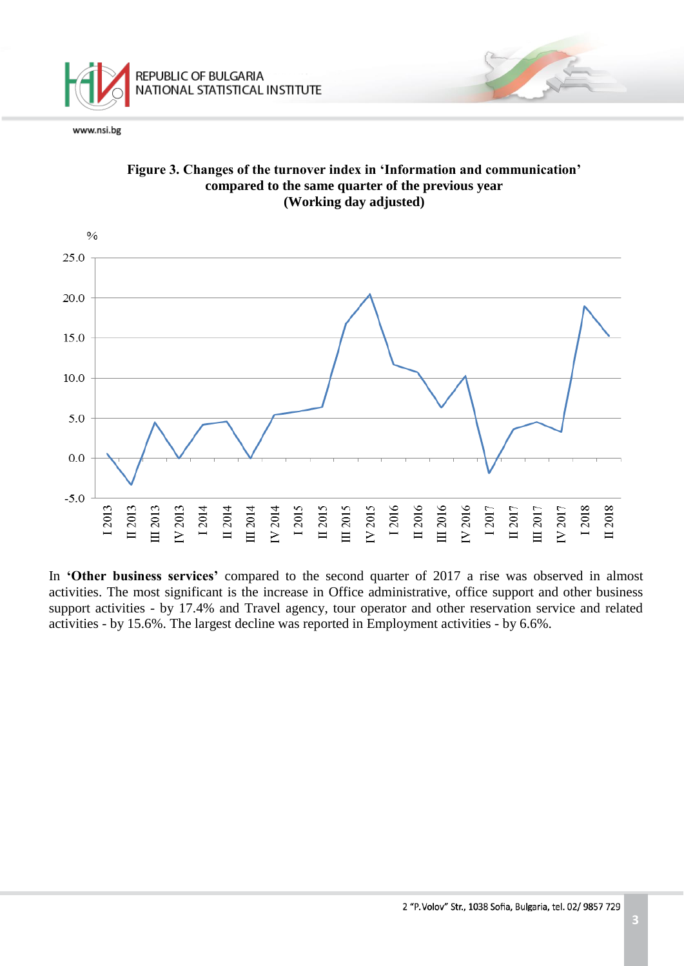





In **'Other business services'** compared to the second quarter of 2017 a rise was observed in almost activities. The most significant is the increase in Office administrative, office support and other business support activities - by 17.4% and Travel agency, tour operator and other reservation service and related activities - by 15.6%. The largest decline was reported in Employment activities - by 6.6%.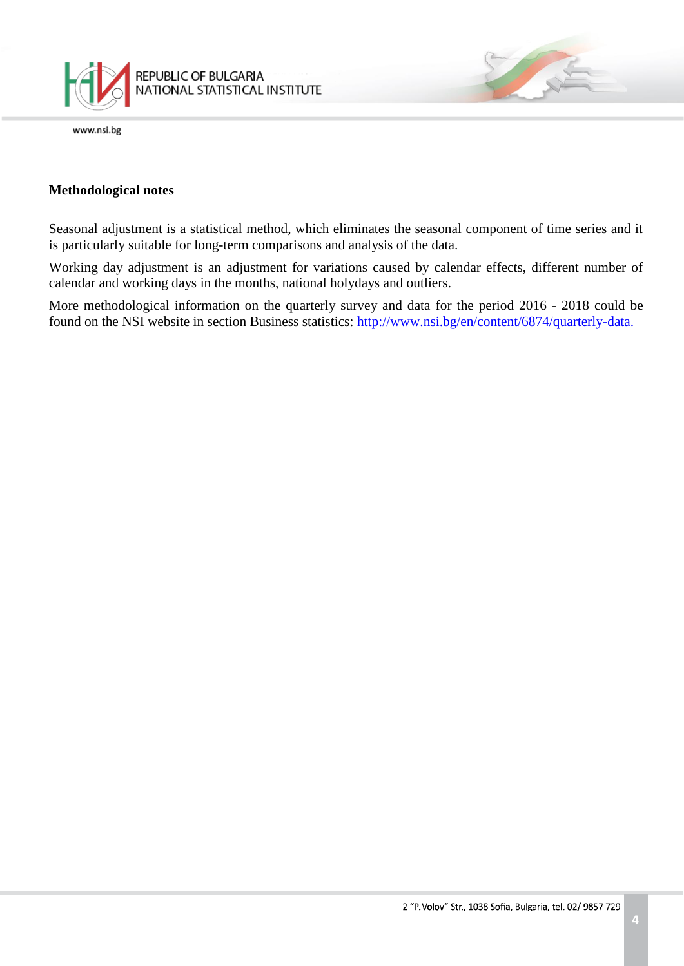

### **Methodological notes**

Seasonal adjustment is a statistical method, which eliminates the seasonal component of time series and it is particularly suitable for long-term comparisons and analysis of the data.

Working day adjustment is an adjustment for variations caused by calendar effects, different number of calendar and working days in the months, national holydays and outliers.

More methodological information on the quarterly survey and data for the period 2016 - 2018 could be found on the NSI website in section Business statistics: http://www.nsi.bg/en/content/6874/quarterly-data.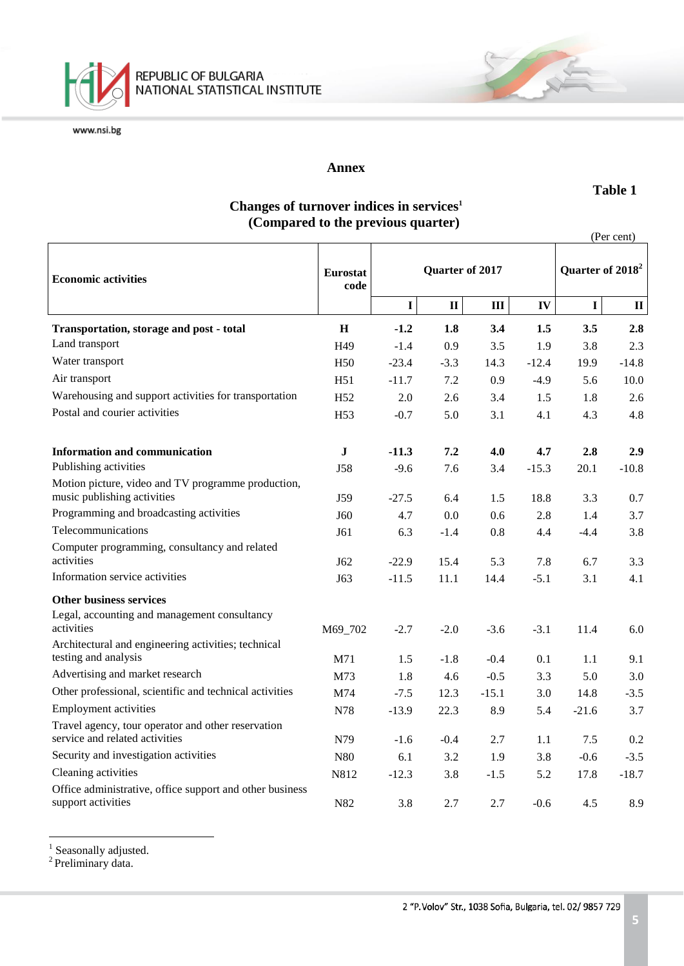

#### **Annex**

### **Table 1**

 $\overline{\mathscr{L}}$ 

# **Changes of turnover indices in services<sup>1</sup> (Compared to the previous quarter)**

|                                                                                      |                         |                 |              |         |         |                              | (Per cent)   |  |
|--------------------------------------------------------------------------------------|-------------------------|-----------------|--------------|---------|---------|------------------------------|--------------|--|
| <b>Economic activities</b>                                                           | <b>Eurostat</b><br>code | Quarter of 2017 |              |         |         | Quarter of 2018 <sup>2</sup> |              |  |
|                                                                                      |                         | $\mathbf I$     | $\mathbf{I}$ | Ш       | IV      | $\mathbf I$                  | $\mathbf{I}$ |  |
| Transportation, storage and post - total                                             | $\bf H$                 | $-1.2$          | 1.8          | 3.4     | 1.5     | 3.5                          | 2.8          |  |
| Land transport                                                                       | H <sub>49</sub>         | $-1.4$          | 0.9          | 3.5     | 1.9     | 3.8                          | 2.3          |  |
| Water transport                                                                      | H <sub>50</sub>         | $-23.4$         | $-3.3$       | 14.3    | $-12.4$ | 19.9                         | $-14.8$      |  |
| Air transport                                                                        | H51                     | $-11.7$         | 7.2          | 0.9     | $-4.9$  | 5.6                          | 10.0         |  |
| Warehousing and support activities for transportation                                | H <sub>52</sub>         | 2.0             | 2.6          | 3.4     | 1.5     | 1.8                          | 2.6          |  |
| Postal and courier activities                                                        | H <sub>53</sub>         | $-0.7$          | 5.0          | 3.1     | 4.1     | 4.3                          | 4.8          |  |
| <b>Information and communication</b>                                                 | $\mathbf J$             | $-11.3$         | 7.2          | 4.0     | 4.7     | 2.8                          | 2.9          |  |
| Publishing activities                                                                | <b>J58</b>              | $-9.6$          | 7.6          | 3.4     | $-15.3$ | 20.1                         | $-10.8$      |  |
| Motion picture, video and TV programme production,<br>music publishing activities    | J59                     | $-27.5$         | 6.4          | 1.5     | 18.8    | 3.3                          | 0.7          |  |
| Programming and broadcasting activities                                              | J60                     | 4.7             | 0.0          | 0.6     | 2.8     | 1.4                          | 3.7          |  |
| Telecommunications                                                                   | J61                     | 6.3             | $-1.4$       | 0.8     | 4.4     | $-4.4$                       | 3.8          |  |
| Computer programming, consultancy and related                                        |                         |                 |              |         |         |                              |              |  |
| activities                                                                           | J62                     | $-22.9$         | 15.4         | 5.3     | 7.8     | 6.7                          | 3.3          |  |
| Information service activities                                                       | J63                     | $-11.5$         | 11.1         | 14.4    | $-5.1$  | 3.1                          | 4.1          |  |
| <b>Other business services</b><br>Legal, accounting and management consultancy       |                         |                 |              |         |         |                              |              |  |
| activities                                                                           | M69_702                 | $-2.7$          | $-2.0$       | $-3.6$  | $-3.1$  | 11.4                         | 6.0          |  |
| Architectural and engineering activities; technical<br>testing and analysis          | M71                     | 1.5             | $-1.8$       | $-0.4$  | 0.1     | 1.1                          | 9.1          |  |
| Advertising and market research                                                      | M73                     | 1.8             | 4.6          | $-0.5$  | 3.3     | 5.0                          | 3.0          |  |
| Other professional, scientific and technical activities                              | M74                     | $-7.5$          | 12.3         | $-15.1$ | 3.0     | 14.8                         | $-3.5$       |  |
| <b>Employment activities</b>                                                         | N78                     | $-13.9$         | 22.3         | 8.9     | 5.4     | $-21.6$                      | 3.7          |  |
| Travel agency, tour operator and other reservation<br>service and related activities | N79                     | $-1.6$          | $-0.4$       | 2.7     | 1.1     | 7.5                          | 0.2          |  |
| Security and investigation activities                                                | N <sub>80</sub>         | 6.1             | 3.2          | 1.9     | 3.8     | $-0.6$                       | $-3.5$       |  |
| Cleaning activities                                                                  | N812                    | $-12.3$         | 3.8          | $-1.5$  | 5.2     | 17.8                         | $-18.7$      |  |
| Office administrative, office support and other business<br>support activities       | N82                     | 3.8             | 2.7          | 2.7     | $-0.6$  | 4.5                          | 8.9          |  |

<sup>1</sup> Seasonally adjusted.

<sup>2</sup> Preliminary data.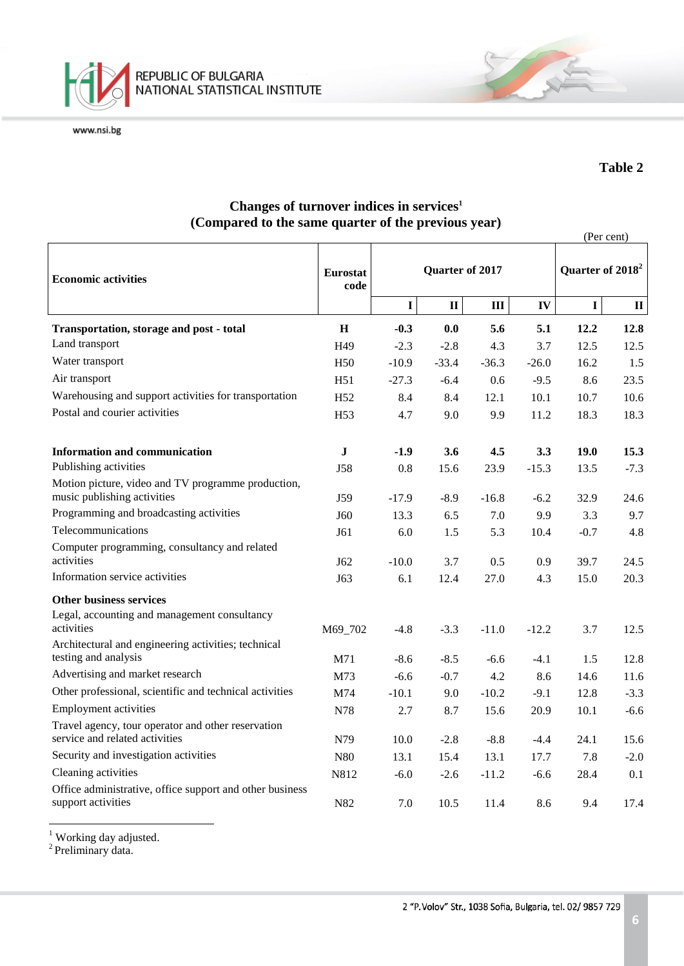

## **Table 2**

 $\overline{\mathscr{L}}$ 

# **Changes of turnover indices in services<sup>1</sup> (Compared to the same quarter of the previous year)**

|                                                                                              |                         |                 |              |                |         |                              | (Per cent)   |
|----------------------------------------------------------------------------------------------|-------------------------|-----------------|--------------|----------------|---------|------------------------------|--------------|
| <b>Economic activities</b>                                                                   | <b>Eurostat</b><br>code | Quarter of 2017 |              |                |         | Quarter of 2018 <sup>2</sup> |              |
|                                                                                              |                         | $\mathbf I$     | $\mathbf{I}$ | $\mathbf{III}$ | IV      | $\mathbf I$                  | $\mathbf{I}$ |
| <b>Transportation, storage and post - total</b>                                              | $\bf H$                 | $-0.3$          | 0.0          | 5.6            | 5.1     | 12.2                         | 12.8         |
| Land transport                                                                               | H49                     | $-2.3$          | $-2.8$       | 4.3            | 3.7     | 12.5                         | 12.5         |
| Water transport                                                                              | H <sub>50</sub>         | $-10.9$         | $-33.4$      | $-36.3$        | $-26.0$ | 16.2                         | 1.5          |
| Air transport                                                                                | H51                     | $-27.3$         | $-6.4$       | 0.6            | $-9.5$  | 8.6                          | 23.5         |
| Warehousing and support activities for transportation                                        | H <sub>52</sub>         | 8.4             | 8.4          | 12.1           | 10.1    | 10.7                         | 10.6         |
| Postal and courier activities                                                                | H <sub>53</sub>         | 4.7             | 9.0          | 9.9            | 11.2    | 18.3                         | 18.3         |
| <b>Information and communication</b>                                                         | ${\bf J}$               | -1.9            | 3.6          | 4.5            | 3.3     | 19.0                         | 15.3         |
| Publishing activities                                                                        | J58                     | 0.8             | 15.6         | 23.9           | $-15.3$ | 13.5                         | $-7.3$       |
| Motion picture, video and TV programme production,<br>music publishing activities            | J59                     | $-17.9$         | $-8.9$       | $-16.8$        | $-6.2$  | 32.9                         | 24.6         |
| Programming and broadcasting activities                                                      | <b>J60</b>              | 13.3            | 6.5          | 7.0            | 9.9     | 3.3                          | 9.7          |
| Telecommunications                                                                           | J61                     | 6.0             | 1.5          | 5.3            | 10.4    | $-0.7$                       | 4.8          |
| Computer programming, consultancy and related<br>activities                                  | J62                     | $-10.0$         | 3.7          | 0.5            | 0.9     | 39.7                         | 24.5         |
| Information service activities                                                               | J63                     | 6.1             | 12.4         | 27.0           | 4.3     | 15.0                         | 20.3         |
| <b>Other business services</b><br>Legal, accounting and management consultancy<br>activities | M69_702                 | $-4.8$          | $-3.3$       | $-11.0$        | $-12.2$ | 3.7                          | 12.5         |
| Architectural and engineering activities; technical<br>testing and analysis                  | M71                     | $-8.6$          | $-8.5$       | $-6.6$         | $-4.1$  | 1.5                          | 12.8         |
| Advertising and market research                                                              | M73                     | $-6.6$          | $-0.7$       | 4.2            | 8.6     | 14.6                         | 11.6         |
| Other professional, scientific and technical activities                                      | M74                     | $-10.1$         | 9.0          | $-10.2$        | $-9.1$  | 12.8                         | $-3.3$       |
| <b>Employment activities</b>                                                                 | N78                     | 2.7             | 8.7          | 15.6           | 20.9    | 10.1                         | $-6.6$       |
| Travel agency, tour operator and other reservation<br>service and related activities         | N79                     | 10.0            | $-2.8$       | $-8.8$         | $-4.4$  | 24.1                         | 15.6         |
| Security and investigation activities                                                        | N <sub>80</sub>         | 13.1            | 15.4         | 13.1           | 17.7    | 7.8                          | $-2.0$       |
| Cleaning activities                                                                          | N812                    | $-6.0$          | $-2.6$       | $-11.2$        | $-6.6$  | 28.4                         | 0.1          |
| Office administrative, office support and other business<br>support activities               | N82                     | 7.0             | 10.5         | 11.4           | 8.6     | 9.4                          | 17.4         |

 $1$  Working day adjusted.

<sup>2</sup> Preliminary data.

a<br>B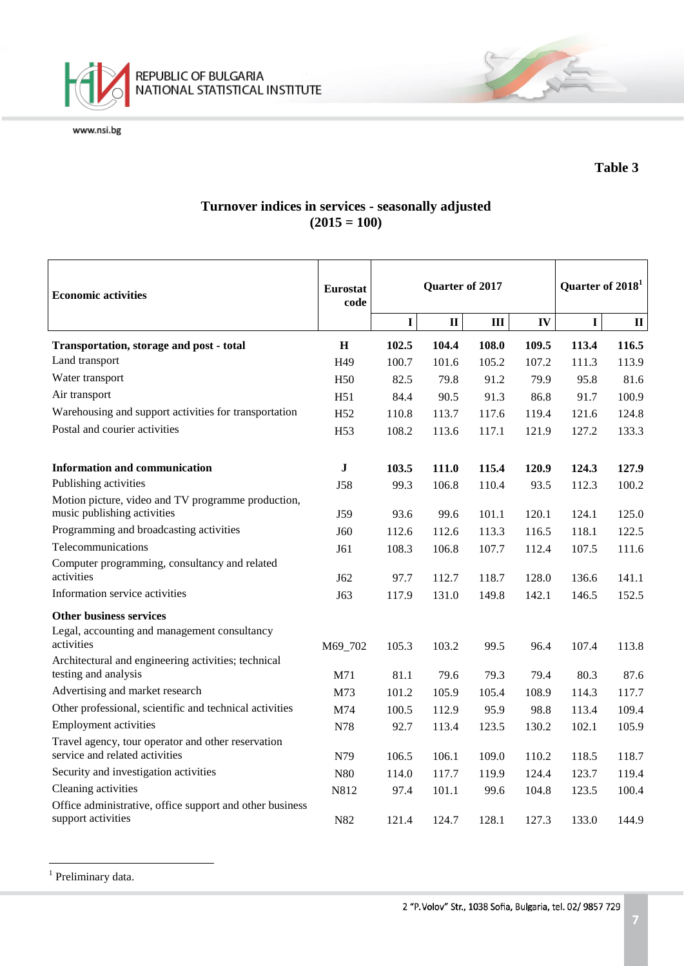

 **Table 3**

20

## **Turnover indices in services - seasonally adjusted**  $(2015 = 100)$

| <b>Economic activities</b>                                                           | <b>Eurostat</b><br>code | Quarter of 2017 |              |       |       | Quarter of 2018 <sup>1</sup> |              |  |
|--------------------------------------------------------------------------------------|-------------------------|-----------------|--------------|-------|-------|------------------------------|--------------|--|
|                                                                                      |                         | $\mathbf I$     | $\mathbf{I}$ | III   | IV    | $\mathbf I$                  | $\mathbf{I}$ |  |
| Transportation, storage and post - total                                             | H                       | 102.5           | 104.4        | 108.0 | 109.5 | 113.4                        | 116.5        |  |
| Land transport                                                                       | H <sub>49</sub>         | 100.7           | 101.6        | 105.2 | 107.2 | 111.3                        | 113.9        |  |
| Water transport                                                                      | H <sub>50</sub>         | 82.5            | 79.8         | 91.2  | 79.9  | 95.8                         | 81.6         |  |
| Air transport                                                                        | H51                     | 84.4            | 90.5         | 91.3  | 86.8  | 91.7                         | 100.9        |  |
| Warehousing and support activities for transportation                                | H <sub>52</sub>         | 110.8           | 113.7        | 117.6 | 119.4 | 121.6                        | 124.8        |  |
| Postal and courier activities                                                        | H <sub>53</sub>         | 108.2           | 113.6        | 117.1 | 121.9 | 127.2                        | 133.3        |  |
| <b>Information and communication</b>                                                 | $\mathbf I$             | 103.5           | 111.0        | 115.4 | 120.9 | 124.3                        | 127.9        |  |
| Publishing activities                                                                | J58                     | 99.3            | 106.8        | 110.4 | 93.5  | 112.3                        | 100.2        |  |
| Motion picture, video and TV programme production,<br>music publishing activities    | J59                     | 93.6            | 99.6         | 101.1 | 120.1 | 124.1                        | 125.0        |  |
| Programming and broadcasting activities                                              | J <sub>60</sub>         | 112.6           | 112.6        | 113.3 | 116.5 | 118.1                        | 122.5        |  |
| Telecommunications                                                                   | J61                     | 108.3           | 106.8        | 107.7 | 112.4 | 107.5                        | 111.6        |  |
| Computer programming, consultancy and related<br>activities                          | J62                     | 97.7            | 112.7        | 118.7 | 128.0 | 136.6                        | 141.1        |  |
| Information service activities                                                       | J63                     | 117.9           | 131.0        | 149.8 | 142.1 | 146.5                        | 152.5        |  |
| <b>Other business services</b>                                                       |                         |                 |              |       |       |                              |              |  |
| Legal, accounting and management consultancy<br>activities                           | M69_702                 | 105.3           | 103.2        | 99.5  | 96.4  | 107.4                        | 113.8        |  |
| Architectural and engineering activities; technical<br>testing and analysis          | M71                     | 81.1            | 79.6         | 79.3  | 79.4  | 80.3                         | 87.6         |  |
| Advertising and market research                                                      | M73                     | 101.2           | 105.9        | 105.4 | 108.9 | 114.3                        | 117.7        |  |
| Other professional, scientific and technical activities                              | M74                     | 100.5           | 112.9        | 95.9  | 98.8  | 113.4                        | 109.4        |  |
| <b>Employment activities</b>                                                         | N78                     | 92.7            | 113.4        | 123.5 | 130.2 | 102.1                        | 105.9        |  |
| Travel agency, tour operator and other reservation<br>service and related activities | N79                     | 106.5           | 106.1        | 109.0 | 110.2 | 118.5                        | 118.7        |  |
| Security and investigation activities                                                | N80                     | 114.0           | 117.7        | 119.9 | 124.4 | 123.7                        | 119.4        |  |
| Cleaning activities                                                                  | N812                    | 97.4            | 101.1        | 99.6  | 104.8 | 123.5                        | 100.4        |  |
| Office administrative, office support and other business<br>support activities       | N82                     | 121.4           | 124.7        | 128.1 | 127.3 | 133.0                        | 144.9        |  |

<sup>1</sup> Preliminary data.